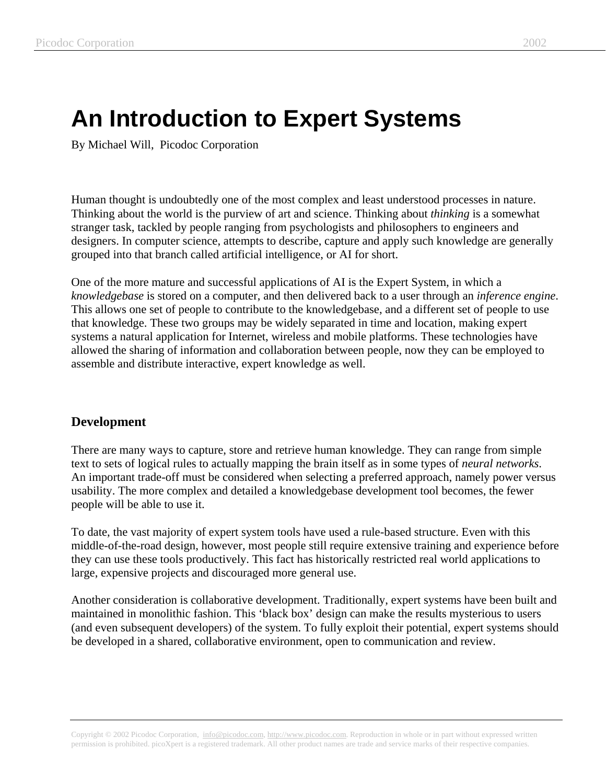## **An Introduction to Expert Systems**

By Michael Will, Picodoc Corporation

Human thought is undoubtedly one of the most complex and least understood processes in nature. Thinking about the world is the purview of art and science. Thinking about *thinking* is a somewhat stranger task, tackled by people ranging from psychologists and philosophers to engineers and designers. In computer science, attempts to describe, capture and apply such knowledge are generally grouped into that branch called artificial intelligence, or AI for short.

One of the more mature and successful applications of AI is the Expert System, in which a *knowledgebase* is stored on a computer, and then delivered back to a user through an *inference engine*. This allows one set of people to contribute to the knowledgebase, and a different set of people to use that knowledge. These two groups may be widely separated in time and location, making expert systems a natural application for Internet, wireless and mobile platforms. These technologies have allowed the sharing of information and collaboration between people, now they can be employed to assemble and distribute interactive, expert knowledge as well.

## **Development**

There are many ways to capture, store and retrieve human knowledge. They can range from simple text to sets of logical rules to actually mapping the brain itself as in some types of *neural networks*. An important trade-off must be considered when selecting a preferred approach, namely power versus usability. The more complex and detailed a knowledgebase development tool becomes, the fewer people will be able to use it.

To date, the vast majority of expert system tools have used a rule-based structure. Even with this middle-of-the-road design, however, most people still require extensive training and experience before they can use these tools productively. This fact has historically restricted real world applications to large, expensive projects and discouraged more general use.

Another consideration is collaborative development. Traditionally, expert systems have been built and maintained in monolithic fashion. This 'black box' design can make the results mysterious to users (and even subsequent developers) of the system. To fully exploit their potential, expert systems should be developed in a shared, collaborative environment, open to communication and review.

Copyright © 2002 Picodoc Corporation, info@picodoc.com, http://www.picodoc.com. Reproduction in whole or in part without expressed written permission is prohibited. picoXpert is a registered trademark. All other product names are trade and service marks of their respective companies.